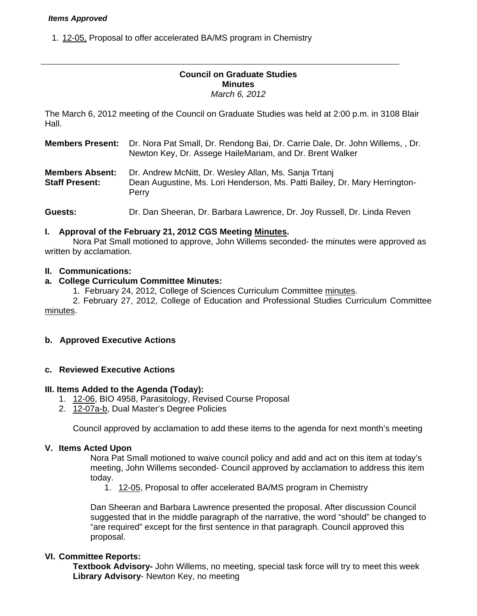#### *Items Approved*

1. 12-05. Proposal to offer accelerated BA/MS program in Chemistry

#### **Council on Graduate Studies Minutes**  *March 6, 2012*

The March 6, 2012 meeting of the Council on Graduate Studies was held at 2:00 p.m. in 3108 Blair Hall.

**Members Present:** Dr. Nora Pat Small, Dr. Rendong Bai, Dr. Carrie Dale, Dr. John Willems, , Dr. Newton Key, Dr. Assege HaileMariam, and Dr. Brent Walker

**Members Absent:** Dr. Andrew McNitt, Dr. Wesley Allan, Ms. Sanja Trtanj **Staff Present:** Dean Augustine, Ms. Lori Henderson, Ms. Patti Bailey, Dr. Mary Herrington-Perry

**Guests:** Dr. Dan Sheeran, Dr. Barbara Lawrence, Dr. Joy Russell, Dr. Linda Reven

#### **I. Approval of the February 21, 2012 CGS Meetin[g Minutes.](http://castle.eiu.edu/eiucgs/currentminutes/Minutes2-21-12.pdf)**

 Nora Pat Small motioned to approve, John Willems seconded- the minutes were approved as written by acclamation.

## **II. Communications:**

## **a. College Curriculum Committee Minutes:**

1. February 24, 2012, College of Sciences Curriculum Committe[e minutes.](http://castle.eiu.edu/~eiucgs/currentagendaitems/COSMin2-24-12.pdf) 

 2. February 27, 2012, College of Education and Professional Studies Curriculum Committee [minutes.](http://castle.eiu.edu/~eiucgs/currentagendaitems/CEPSMin2-27-12.pdf) 

## **b. Approved Executive Actions**

#### **c. Reviewed Executive Actions**

#### **III. Items Added to the Agenda (Today):**

- 1. [12-06, B](http://castle.eiu.edu/~eiucgs/currentagendaitems/agenda12-06.pdf)IO 4958, Parasitology, Revised Course Proposal
- 2. [12-07a-b,](http://castle.eiu.edu/~eiucgs/currentagendaitems/agenda12-07.pdf) Dual Master's Degree Policies

Council approved by acclamation to add these items to the agenda for next month's meeting

#### **V. Items Acted Upon**

Nora Pat Small motioned to waive council policy and add and act on this item at today's meeting, John Willems seconded- Council approved by acclamation to address this item today.

1. [12-05, P](http://castle.eiu.edu/~eiucgs/currentagendaitems/agenda12-05.pdf)roposal to offer accelerated BA/MS program in Chemistry

Dan Sheeran and Barbara Lawrence presented the proposal. After discussion Council suggested that in the middle paragraph of the narrative, the word "should" be changed to "are required" except for the first sentence in that paragraph. Council approved this proposal.

#### **VI. Committee Reports:**

**Textbook Advisory-** John Willems, no meeting, special task force will try to meet this week **Library Advisory**- Newton Key, no meeting